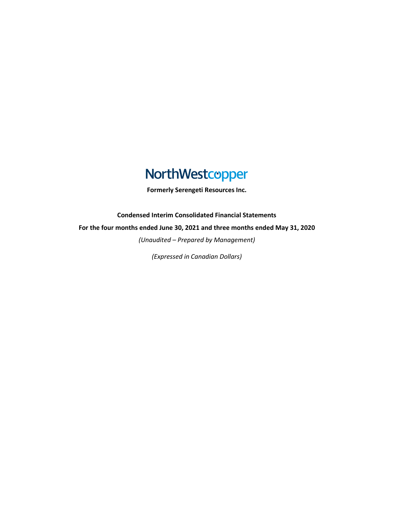# NorthWestcopper

**Formerly Serengeti Resources Inc.**

**Condensed Interim Consolidated Financial Statements**

**For the four months ended June 30, 2021 and three months ended May 31, 2020**

*(Unaudited – Prepared by Management)*

*(Expressed in Canadian Dollars)*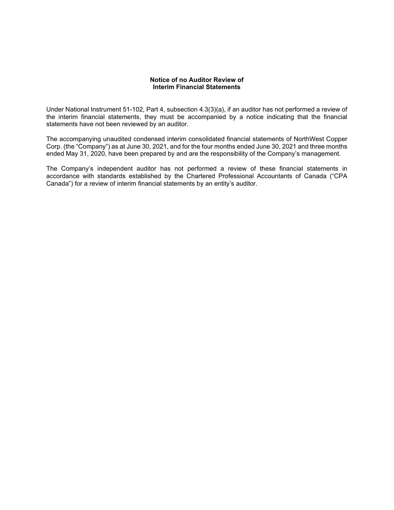# **Notice of no Auditor Review of Interim Financial Statements**

Under National Instrument 51-102, Part 4, subsection 4.3(3)(a), if an auditor has not performed a review of the interim financial statements, they must be accompanied by a notice indicating that the financial statements have not been reviewed by an auditor.

The accompanying unaudited condensed interim consolidated financial statements of NorthWest Copper Corp. (the "Company") as at June 30, 2021, and for the four months ended June 30, 2021 and three months ended May 31, 2020, have been prepared by and are the responsibility of the Company's management.

The Company's independent auditor has not performed a review of these financial statements in accordance with standards established by the Chartered Professional Accountants of Canada ("CPA Canada") for a review of interim financial statements by an entity's auditor.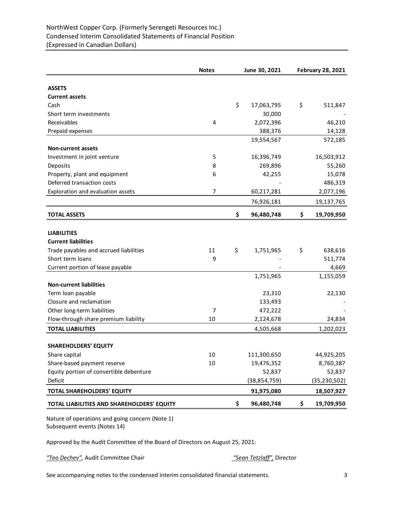# NorthWest Copper Corp. (Formerly Serengeti Resources Inc.) Condensed Interim Consolidated Statements of Financial Position (Expressed in Canadian Dollars)

|                                            | <b>Notes</b>   | June 30, 2021    | <b>February 28, 2021</b> |                |  |
|--------------------------------------------|----------------|------------------|--------------------------|----------------|--|
| <b>ASSETS</b>                              |                |                  |                          |                |  |
| <b>Current assets</b>                      |                |                  |                          |                |  |
| Cash                                       |                | \$<br>17,063,795 | \$                       | 511,847        |  |
| Short term investments                     |                | 30,000           |                          |                |  |
| Receivables                                | 4              | 2,072,396        |                          | 46,210         |  |
| Prepaid expenses                           |                | 388,376          |                          | 14,128         |  |
|                                            |                | 19,554,567       |                          | 572,185        |  |
| <b>Non-current assets</b>                  |                |                  |                          |                |  |
| Investment in joint venture                | 5              | 16,396,749       |                          | 16,503,912     |  |
| Deposits                                   | 8              | 269,896          |                          | 55,260         |  |
| Property, plant and equipment              | 6              | 42,255           |                          | 15,078         |  |
| Deferred transaction costs                 |                |                  |                          | 486,319        |  |
| Exploration and evaluation assets          | $\overline{7}$ | 60,217,281       |                          | 2,077,196      |  |
|                                            |                | 76,926,181       |                          | 19,137,765     |  |
| <b>TOTAL ASSETS</b>                        |                | \$<br>96,480,748 | \$                       | 19,709,950     |  |
|                                            |                |                  |                          |                |  |
| <b>LIABILITIES</b>                         |                |                  |                          |                |  |
| <b>Current liabilities</b>                 |                |                  |                          |                |  |
| Trade payables and accrued liabilities     | 11             | \$<br>1,751,965  | \$                       | 638,616        |  |
| Short term loans                           | 9              |                  |                          | 511,774        |  |
| Current portion of lease payable           |                |                  |                          | 4,669          |  |
|                                            |                | 1,751,965        |                          | 1,155,059      |  |
| <b>Non-current liabilities</b>             |                |                  |                          |                |  |
| Term loan payable                          |                | 23,310           |                          | 22,130         |  |
| Closure and reclamation                    |                | 133,493          |                          |                |  |
| Other long-term liabilities                | $\overline{7}$ | 472,222          |                          |                |  |
| Flow-through share premium liability       | 10             | 2,124,678        |                          | 24,834         |  |
| <b>TOTAL LIABILITIES</b>                   |                | 4,505,668        |                          | 1,202,023      |  |
| <b>SHAREHOLDERS' EQUITY</b>                |                |                  |                          |                |  |
| Share capital                              | $10\,$         | 111,300,650      |                          | 44,925,205     |  |
| Share-based payment reserve                | 10             | 19,476,352       |                          | 8,760,387      |  |
| Equity portion of convertible debenture    |                | 52,837           |                          | 52,837         |  |
| Deficit                                    |                | (38, 854, 759)   |                          | (35, 230, 502) |  |
| <b>TOTAL SHAREHOLDERS' EQUITY</b>          |                | 91,975,080       |                          | 18,507,927     |  |
| TOTAL LIABILITIES AND SHAREHOLDERS' EQUITY |                | \$<br>96,480,748 | \$                       | 19,709,950     |  |

Nature of operations and going concern (Note 1) Subsequent events (Notes 14)

Approved by the Audit Committee of the Board of Directors on August 25, 2021:

*"Teo Dechev",* Audit Committee Chair *"Sean Tetzlaff",* Director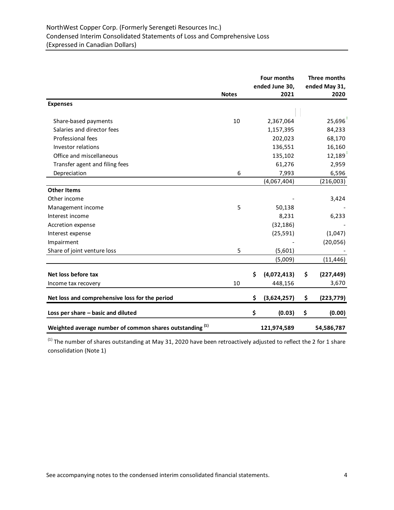|                                                                     | <b>Notes</b> | Four months<br>ended June 30,<br>2021 | Three months<br>ended May 31,<br>2020 |
|---------------------------------------------------------------------|--------------|---------------------------------------|---------------------------------------|
| <b>Expenses</b>                                                     |              |                                       |                                       |
| Share-based payments                                                | 10           | 2,367,064                             | 25,696                                |
| Salaries and director fees                                          |              | 1,157,395                             | 84,233                                |
| Professional fees                                                   |              | 202,023                               | 68,170                                |
| Investor relations                                                  |              | 136,551                               | 16,160                                |
| Office and miscellaneous                                            |              | 135,102                               | 12,189                                |
| Transfer agent and filing fees                                      |              | 61,276                                | 2,959                                 |
| Depreciation                                                        | 6            | 7,993                                 | 6,596                                 |
|                                                                     |              | (4,067,404)                           | (216,003)                             |
| <b>Other Items</b>                                                  |              |                                       |                                       |
| Other income                                                        |              |                                       | 3,424                                 |
| Management income                                                   | 5            | 50,138                                |                                       |
| Interest income                                                     |              | 8,231                                 | 6,233                                 |
| Accretion expense                                                   |              | (32, 186)                             |                                       |
| Interest expense                                                    |              | (25, 591)                             | (1,047)                               |
| Impairment                                                          |              |                                       | (20,056)                              |
| Share of joint venture loss                                         | 5            | (5,601)                               |                                       |
|                                                                     |              | (5,009)                               | (11, 446)                             |
|                                                                     |              |                                       |                                       |
| Net loss before tax                                                 |              | \$<br>(4,072,413)                     | \$<br>(227, 449)                      |
| Income tax recovery                                                 | 10           | 448,156                               | 3,670                                 |
| Net loss and comprehensive loss for the period                      |              | \$<br>(3,624,257)                     | \$<br>(223, 779)                      |
| Loss per share - basic and diluted                                  |              | \$<br>(0.03)                          | \$<br>(0.00)                          |
| Weighted average number of common shares outstanding <sup>(1)</sup> |              | 121,974,589                           | 54,586,787                            |

 $^{(1)}$  The number of shares outstanding at May 31, 2020 have been retroactively adjusted to reflect the 2 for 1 share consolidation (Note 1)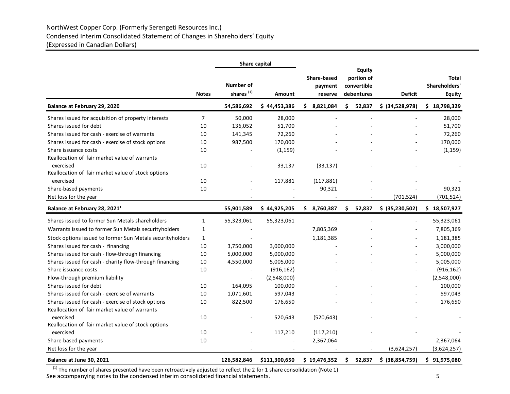# NorthWest Copper Corp. (Formerly Serengeti Resources Inc.) Condensed Interim Consolidated Statement of Changes in Shareholders' Equity (Expressed in Canadian Dollars)

|                                                           |                | Share capital                             |               |                                   |                                                          |                 |                                         |
|-----------------------------------------------------------|----------------|-------------------------------------------|---------------|-----------------------------------|----------------------------------------------------------|-----------------|-----------------------------------------|
|                                                           | <b>Notes</b>   | <b>Number of</b><br>shares <sup>(1)</sup> | <b>Amount</b> | Share-based<br>payment<br>reserve | <b>Equity</b><br>portion of<br>convertible<br>debentures | <b>Deficit</b>  | Total<br>Shareholders'<br><b>Equity</b> |
| Balance at February 29, 2020                              |                | 54,586,692                                | \$44,453,386  | \$8,821,084                       | 52,837<br>\$.                                            | \$ (34,528,978) | \$18,798,329                            |
| Shares issued for acquisition of property interests       | $\overline{7}$ | 50,000                                    | 28,000        |                                   |                                                          |                 | 28,000                                  |
| Shares issued for debt                                    | 10             | 136,052                                   | 51,700        |                                   |                                                          |                 | 51,700                                  |
| Shares issued for cash - exercise of warrants             | 10             | 141,345                                   | 72,260        |                                   |                                                          |                 | 72,260                                  |
| Shares issued for cash - exercise of stock options        | 10             | 987,500                                   | 170,000       |                                   |                                                          |                 | 170,000                                 |
| Share issuance costs                                      | 10             |                                           | (1, 159)      |                                   |                                                          |                 | (1, 159)                                |
| Reallocation of fair market value of warrants             |                |                                           |               |                                   |                                                          |                 |                                         |
| exercised                                                 | 10             |                                           | 33,137        | (33, 137)                         |                                                          |                 |                                         |
| Reallocation of fair market value of stock options        |                |                                           |               |                                   |                                                          |                 |                                         |
| exercised                                                 | 10             |                                           | 117,881       | (117, 881)                        |                                                          |                 |                                         |
| Share-based payments                                      | 10             |                                           |               | 90,321                            |                                                          |                 | 90,321                                  |
| Net loss for the year                                     |                |                                           |               |                                   |                                                          | (701, 524)      | (701, 524)                              |
| Balance at February 28, 2021 <sup>1</sup>                 |                | 55,901,589                                | \$44,925,205  | 8,760,387<br>\$.                  | Ŝ.<br>52,837                                             | \$ (35,230,502) | \$18,507,927                            |
| Shares issued to former Sun Metals shareholders           | $\mathbf{1}$   | 55,323,061                                | 55,323,061    |                                   |                                                          |                 | 55,323,061                              |
| Warrants issued to former Sun Metals securityholders      | $\mathbf{1}$   |                                           |               | 7,805,369                         |                                                          |                 | 7,805,369                               |
| Stock options issued to former Sun Metals securityholders | $\mathbf{1}$   |                                           |               | 1,181,385                         |                                                          |                 | 1,181,385                               |
| Shares issued for cash - financing                        | 10             | 3,750,000                                 | 3,000,000     |                                   |                                                          |                 | 3,000,000                               |
| Shares issued for cash - flow-through financing           | 10             | 5,000,000                                 | 5,000,000     |                                   |                                                          |                 | 5,000,000                               |
| Shares issued for cash - charity flow-through financing   | 10             | 4,550,000                                 | 5,005,000     |                                   |                                                          |                 | 5,005,000                               |
| Share issuance costs                                      | 10             |                                           | (916, 162)    |                                   |                                                          |                 | (916, 162)                              |
| Flow-through premium liability                            |                |                                           | (2,548,000)   |                                   |                                                          |                 | (2,548,000)                             |
| Shares issued for debt                                    | 10             | 164,095                                   | 100,000       |                                   |                                                          |                 | 100,000                                 |
| Shares issued for cash - exercise of warrants             | 10             | 1,071,601                                 | 597,043       |                                   |                                                          |                 | 597,043                                 |
| Shares issued for cash - exercise of stock options        | $10\,$         | 822,500                                   | 176,650       |                                   |                                                          |                 | 176,650                                 |
| Reallocation of fair market value of warrants             |                |                                           |               |                                   |                                                          |                 |                                         |
| exercised                                                 | 10             |                                           | 520,643       | (520, 643)                        |                                                          |                 |                                         |
| Reallocation of fair market value of stock options        |                |                                           |               |                                   |                                                          |                 |                                         |
| exercised                                                 | 10             |                                           | 117,210       | (117, 210)                        |                                                          |                 |                                         |
| Share-based payments                                      | $10\,$         |                                           |               | 2,367,064                         |                                                          |                 | 2,367,064                               |
| Net loss for the year                                     |                |                                           |               |                                   |                                                          | (3,624,257)     | (3,624,257)                             |
| Balance at June 30, 2021                                  |                | 126,582,846                               | \$111,300,650 | \$19,476,352                      | \$<br>52,837                                             | \$ (38,854,759) | \$91,975,080                            |

See accompanying notes to the condensed interim consolidated financial statements. See accompanying notes to the condensed interim consolidated financial statements.  $^{(1)}$  The number of shares presented have been retroactively adjusted to reflect the 2 for 1 share consolidation (Note 1)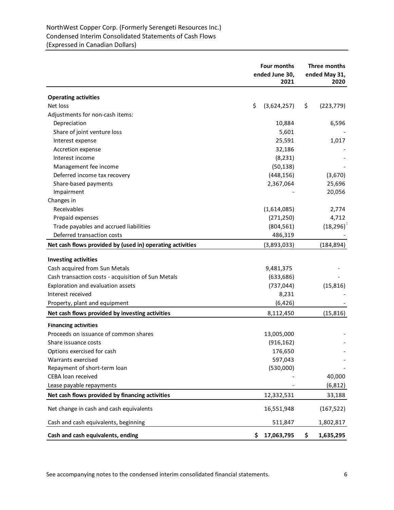# NorthWest Copper Corp. (Formerly Serengeti Resources Inc.) Condensed Interim Consolidated Statements of Cash Flows (Expressed in Canadian Dollars)

|                                                           | Four months<br>ended June 30,<br>2021 | Three months<br>ended May 31,<br>2020 |  |
|-----------------------------------------------------------|---------------------------------------|---------------------------------------|--|
| <b>Operating activities</b>                               |                                       |                                       |  |
| Net loss                                                  | \$<br>(3,624,257)                     | \$<br>(223, 779)                      |  |
| Adjustments for non-cash items:                           |                                       |                                       |  |
| Depreciation                                              | 10,884                                | 6,596                                 |  |
| Share of joint venture loss                               | 5,601                                 |                                       |  |
| Interest expense                                          | 25,591                                | 1,017                                 |  |
| Accretion expense                                         | 32,186                                |                                       |  |
| Interest income                                           | (8, 231)                              |                                       |  |
| Management fee income                                     | (50, 138)                             |                                       |  |
| Deferred income tax recovery                              | (448, 156)                            | (3,670)                               |  |
| Share-based payments                                      | 2,367,064                             | 25,696                                |  |
| Impairment                                                |                                       | 20,056                                |  |
| Changes in                                                |                                       |                                       |  |
| Receivables                                               | (1,614,085)                           | 2,774                                 |  |
| Prepaid expenses                                          | (271, 250)                            | 4,712                                 |  |
| Trade payables and accrued liabilities                    | (804, 561)                            | (18, 296)                             |  |
| Deferred transaction costs                                | 486,319                               |                                       |  |
| Net cash flows provided by (used in) operating activities | (3,893,033)                           | (184, 894)                            |  |
|                                                           |                                       |                                       |  |
| <b>Investing activities</b>                               |                                       |                                       |  |
| Cash acquired from Sun Metals                             | 9,481,375                             |                                       |  |
| Cash transaction costs - acquisition of Sun Metals        | (633, 686)                            |                                       |  |
| Exploration and evaluation assets                         | (737, 044)                            | (15, 816)                             |  |
| Interest received                                         | 8,231                                 |                                       |  |
| Property, plant and equipment                             | (6, 426)                              |                                       |  |
| Net cash flows provided by investing activities           | 8,112,450                             | (15, 816)                             |  |
| <b>Financing activities</b>                               |                                       |                                       |  |
| Proceeds on issuance of common shares                     | 13,005,000                            |                                       |  |
| Share issuance costs                                      | (916, 162)                            |                                       |  |
| Options exercised for cash                                | 176,650                               |                                       |  |
| Warrants exercised                                        | 597,043                               |                                       |  |
| Repayment of short-term loan                              | (530,000)                             |                                       |  |
| CEBA loan received                                        |                                       | 40,000                                |  |
| Lease payable repayments                                  |                                       | (6, 812)                              |  |
| Net cash flows provided by financing activities           | 12,332,531                            | 33,188                                |  |
| Net change in cash and cash equivalents                   | 16,551,948                            | (167, 522)                            |  |
| Cash and cash equivalents, beginning                      | 511,847                               | 1,802,817                             |  |
| Cash and cash equivalents, ending                         | 17,063,795<br>\$.                     | \$<br>1,635,295                       |  |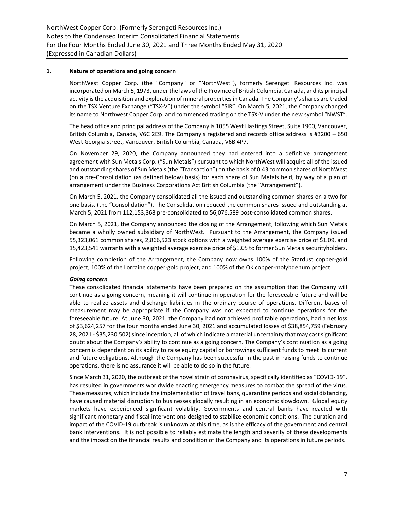# **1. Nature of operations and going concern**

NorthWest Copper Corp. (the "Company" or "NorthWest"), formerly Serengeti Resources Inc. was incorporated on March 5, 1973, under the laws of the Province of British Columbia, Canada, and its principal activity is the acquisition and exploration of mineral properties in Canada. The Company's shares are traded on the TSX Venture Exchange ("TSX-V") under the symbol "SIR". On March 5, 2021, the Company changed its name to Northwest Copper Corp. and commenced trading on the TSX-V under the new symbol "NWST".

The head office and principal address of the Company is 1055 West Hastings Street, Suite 1900, Vancouver, British Columbia, Canada, V6C 2E9. The Company's registered and records office address is #3200 – 650 West Georgia Street, Vancouver, British Columbia, Canada, V6B 4P7.

On November 29, 2020, the Company announced they had entered into a definitive arrangement agreement with Sun Metals Corp. ("Sun Metals") pursuant to which NorthWest will acquire all of the issued and outstanding shares of Sun Metals (the "Transaction") on the basis of 0.43 common shares of NorthWest (on a pre-Consolidation (as defined below) basis) for each share of Sun Metals held, by way of a plan of arrangement under the Business Corporations Act British Columbia (the "Arrangement").

On March 5, 2021, the Company consolidated all the issued and outstanding common shares on a two for one basis. (the "Consolidation"). The Consolidation reduced the common shares issued and outstanding at March 5, 2021 from 112,153,368 pre-consolidated to 56,076,589 post-consolidated common shares.

On March 5, 2021, the Company announced the closing of the Arrangement, following which Sun Metals became a wholly owned subsidiary of NorthWest. Pursuant to the Arrangement, the Company issued 55,323,061 common shares, 2,866,523 stock options with a weighted average exercise price of \$1.09, and 15,423,541 warrants with a weighted average exercise price of \$1.05 to former Sun Metals securityholders.

Following completion of the Arrangement, the Company now owns 100% of the Stardust copper-gold project, 100% of the Lorraine copper-gold project, and 100% of the OK copper-molybdenum project.

#### *Going concern*

These consolidated financial statements have been prepared on the assumption that the Company will continue as a going concern, meaning it will continue in operation for the foreseeable future and will be able to realize assets and discharge liabilities in the ordinary course of operations. Different bases of measurement may be appropriate if the Company was not expected to continue operations for the foreseeable future. At June 30, 2021, the Company had not achieved profitable operations, had a net loss of \$3,624,257 for the four months ended June 30, 2021 and accumulated losses of \$38,854,759 (February 28, 2021 - \$35,230,502) since inception, all of which indicate a material uncertainty that may cast significant doubt about the Company's ability to continue as a going concern. The Company's continuation as a going concern is dependent on its ability to raise equity capital or borrowings sufficient funds to meet its current and future obligations. Although the Company has been successful in the past in raising funds to continue operations, there is no assurance it will be able to do so in the future.

Since March 31, 2020, the outbreak of the novel strain of coronavirus, specifically identified as "COVID- 19", has resulted in governments worldwide enacting emergency measures to combat the spread of the virus. These measures, which include the implementation of travel bans, quarantine periods and social distancing, have caused material disruption to businesses globally resulting in an economic slowdown. Global equity markets have experienced significant volatility. Governments and central banks have reacted with significant monetary and fiscal interventions designed to stabilize economic conditions. The duration and impact of the COVID-19 outbreak is unknown at this time, as is the efficacy of the government and central bank interventions. It is not possible to reliably estimate the length and severity of these developments and the impact on the financial results and condition of the Company and its operations in future periods.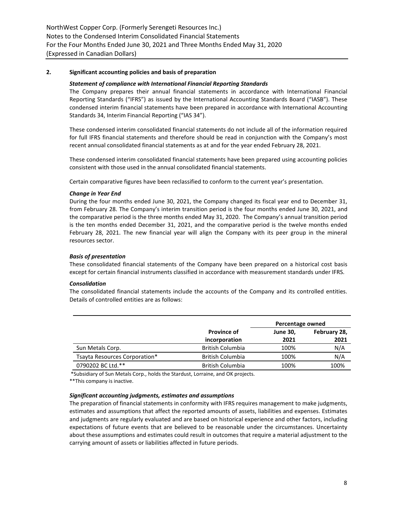# **2. Significant accounting policies and basis of preparation**

#### *Statement of compliance with International Financial Reporting Standards*

The Company prepares their annual financial statements in accordance with International Financial Reporting Standards ("IFRS") as issued by the International Accounting Standards Board ("IASB"). These condensed interim financial statements have been prepared in accordance with International Accounting Standards 34, Interim Financial Reporting ("IAS 34").

These condensed interim consolidated financial statements do not include all of the information required for full IFRS financial statements and therefore should be read in conjunction with the Company's most recent annual consolidated financial statements as at and for the year ended February 28, 2021.

These condensed interim consolidated financial statements have been prepared using accounting policies consistent with those used in the annual consolidated financial statements.

Certain comparative figures have been reclassified to conform to the current year's presentation.

#### *Change in Year End*

During the four months ended June 30, 2021, the Company changed its fiscal year end to December 31, from February 28. The Company's interim transition period is the four months ended June 30, 2021, and the comparative period is the three months ended May 31, 2020. The Company's annual transition period is the ten months ended December 31, 2021, and the comparative period is the twelve months ended February 28, 2021. The new financial year will align the Company with its peer group in the mineral resources sector.

#### *Basis of presentation*

These consolidated financial statements of the Company have been prepared on a historical cost basis except for certain financial instruments classified in accordance with measurement standards under IFRS.

#### *Consolidation*

The consolidated financial statements include the accounts of the Company and its controlled entities. Details of controlled entities are as follows:

|                                                   |                                          | Percentage owned |              |  |
|---------------------------------------------------|------------------------------------------|------------------|--------------|--|
|                                                   | <b>Province of</b>                       | <b>June 30,</b>  | February 28, |  |
|                                                   | incorporation<br><b>British Columbia</b> | 2021<br>100%     | 2021<br>N/A  |  |
| Sun Metals Corp.<br>Tsayta Resources Corporation* | <b>British Columbia</b>                  | 100%             | N/A          |  |
| 0790202 BC Ltd.**                                 | <b>British Columbia</b>                  | 100%             | 100%         |  |

\*Subsidiary of Sun Metals Corp., holds the Stardust, Lorraine, and OK projects.

\*\*This company is inactive.

#### *Significant accounting judgments, estimates and assumptions*

The preparation of financial statements in conformity with IFRS requires management to make judgments, estimates and assumptions that affect the reported amounts of assets, liabilities and expenses. Estimates and judgments are regularly evaluated and are based on historical experience and other factors, including expectations of future events that are believed to be reasonable under the circumstances. Uncertainty about these assumptions and estimates could result in outcomes that require a material adjustment to the carrying amount of assets or liabilities affected in future periods.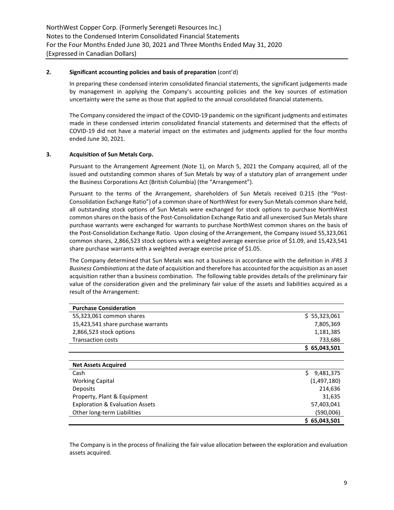# **2. Significant accounting policies and basis of preparation** (cont'd)

In preparing these condensed interim consolidated financial statements, the significant judgements made by management in applying the Company's accounting policies and the key sources of estimation uncertainty were the same as those that applied to the annual consolidated financial statements.

The Company considered the impact of the COVID-19 pandemic on the significant judgments and estimates made in these condensed interim consolidated financial statements and determined that the effects of COVID-19 did not have a material impact on the estimates and judgments applied for the four months ended June 30, 2021.

# **3. Acquisition of Sun Metals Corp.**

Pursuant to the Arrangement Agreement (Note 1), on March 5, 2021 the Company acquired, all of the issued and outstanding common shares of Sun Metals by way of a statutory plan of arrangement under the Business Corporations Act (British Columbia) (the "Arrangement").

Pursuant to the terms of the Arrangement, shareholders of Sun Metals received 0.215 (the "Post-Consolidation Exchange Ratio") of a common share of NorthWest for every Sun Metals common share held, all outstanding stock options of Sun Metals were exchanged for stock options to purchase NorthWest common shares on the basis of the Post-Consolidation Exchange Ratio and all unexercised Sun Metals share purchase warrants were exchanged for warrants to purchase NorthWest common shares on the basis of the Post-Consolidation Exchange Ratio. Upon closing of the Arrangement, the Company issued 55,323,061 common shares, 2,866,523 stock options with a weighted average exercise price of \$1.09, and 15,423,541 share purchase warrants with a weighted average exercise price of \$1.05.

The Company determined that Sun Metals was not a business in accordance with the definition in *IFRS 3 Business Combinations* at the date of acquisition and therefore has accounted for the acquisition as an asset acquisition rather than a business combination. The following table provides details of the preliminary fair value of the consideration given and the preliminary fair value of the assets and liabilities acquired as a result of the Arrangement:

| <b>Purchase Consideration</b>              |                 |
|--------------------------------------------|-----------------|
| 55,323,061 common shares                   | \$5,323,061     |
| 15,423,541 share purchase warrants         | 7,805,369       |
| 2,866,523 stock options                    | 1,181,385       |
| <b>Transaction costs</b>                   | 733,686         |
|                                            | \$65,043,501    |
|                                            |                 |
| <b>Net Assets Acquired</b>                 |                 |
| Cash                                       | Ś.<br>9,481,375 |
| <b>Working Capital</b>                     | (1,497,180)     |
| Deposits                                   | 214,636         |
| Property, Plant & Equipment                | 31,635          |
| <b>Exploration &amp; Evaluation Assets</b> | 57,403,041      |
| Other long-term Liabilities                | (590,006)       |
|                                            | \$65,043,501    |

The Company is in the process of finalizing the fair value allocation between the exploration and evaluation assets acquired.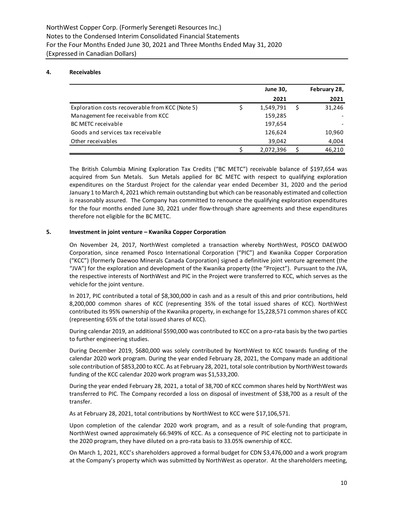#### **4. Receivables**

|                                                 | <b>June 30,</b> | February 28, |
|-------------------------------------------------|-----------------|--------------|
|                                                 | 2021            | 2021         |
| Exploration costs recoverable from KCC (Note 5) | 1,549,791       | 31,246       |
| Management fee receivable from KCC              | 159,285         |              |
| <b>BC METC receivable</b>                       | 197,654         |              |
| Goods and services tax receivable               | 126,624         | 10,960       |
| Other receivables                               | 39.042          | 4,004        |
|                                                 | 2,072,396       | 46.210       |

The British Columbia Mining Exploration Tax Credits ("BC METC") receivable balance of \$197,654 was acquired from Sun Metals. Sun Metals applied for BC METC with respect to qualifying exploration expenditures on the Stardust Project for the calendar year ended December 31, 2020 and the period January 1 to March 4, 2021 which remain outstanding but which can be reasonably estimated and collection is reasonably assured. The Company has committed to renounce the qualifying exploration expenditures for the four months ended June 30, 2021 under flow-through share agreements and these expenditures therefore not eligible for the BC METC.

#### **5. Investment in joint venture – Kwanika Copper Corporation**

On November 24, 2017, NorthWest completed a transaction whereby NorthWest, POSCO DAEWOO Corporation, since renamed Posco International Corporation ("PIC") and Kwanika Copper Corporation ("KCC") (formerly Daewoo Minerals Canada Corporation) signed a definitive joint venture agreement (the "JVA") for the exploration and development of the Kwanika property (the "Project"). Pursuant to the JVA, the respective interests of NorthWest and PIC in the Project were transferred to KCC, which serves as the vehicle for the joint venture.

In 2017, PIC contributed a total of \$8,300,000 in cash and as a result of this and prior contributions, held 8,200,000 common shares of KCC (representing 35% of the total issued shares of KCC). NorthWest contributed its 95% ownership of the Kwanika property, in exchange for 15,228,571 common shares of KCC (representing 65% of the total issued shares of KCC).

During calendar 2019, an additional \$590,000 was contributed to KCC on a pro-rata basis by the two parties to further engineering studies.

During December 2019, \$680,000 was solely contributed by NorthWest to KCC towards funding of the calendar 2020 work program. During the year ended February 28, 2021, the Company made an additional sole contribution of \$853,200 to KCC. As at February 28, 2021, total sole contribution by NorthWest towards funding of the KCC calendar 2020 work program was \$1,533,200.

During the year ended February 28, 2021, a total of 38,700 of KCC common shares held by NorthWest was transferred to PIC. The Company recorded a loss on disposal of investment of \$38,700 as a result of the transfer.

As at February 28, 2021, total contributions by NorthWest to KCC were \$17,106,571.

Upon completion of the calendar 2020 work program, and as a result of sole-funding that program, NorthWest owned approximately 66.949% of KCC. As a consequence of PIC electing not to participate in the 2020 program, they have diluted on a pro-rata basis to 33.05% ownership of KCC.

On March 1, 2021, KCC's shareholders approved a formal budget for CDN \$3,476,000 and a work program at the Company's property which was submitted by NorthWest as operator. At the shareholders meeting,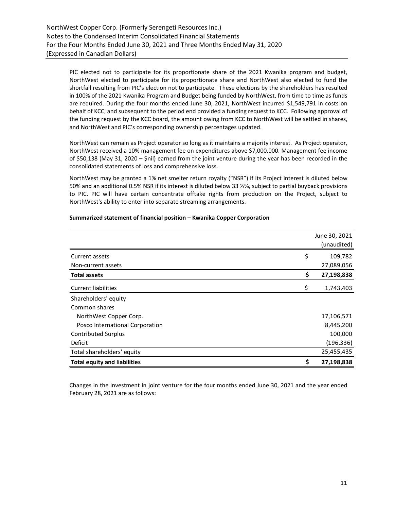PIC elected not to participate for its proportionate share of the 2021 Kwanika program and budget, NorthWest elected to participate for its proportionate share and NorthWest also elected to fund the shortfall resulting from PIC's election not to participate. These elections by the shareholders has resulted in 100% of the 2021 Kwanika Program and Budget being funded by NorthWest, from time to time as funds are required. During the four months ended June 30, 2021, NorthWest incurred \$1,549,791 in costs on behalf of KCC, and subsequent to the period end provided a funding request to KCC. Following approval of the funding request by the KCC board, the amount owing from KCC to NorthWest will be settled in shares, and NorthWest and PIC's corresponding ownership percentages updated.

NorthWest can remain as Project operator so long as it maintains a majority interest. As Project operator, NorthWest received a 10% management fee on expenditures above \$7,000,000. Management fee income of \$50,138 (May 31, 2020 – \$nil) earned from the joint venture during the year has been recorded in the consolidated statements of loss and comprehensive loss.

NorthWest may be granted a 1% net smelter return royalty ("NSR") if its Project interest is diluted below 50% and an additional 0.5% NSR if its interest is diluted below 33 ⅓%, subject to partial buyback provisions to PIC. PIC will have certain concentrate offtake rights from production on the Project, subject to NorthWest's ability to enter into separate streaming arrangements.

|                                     | June 30, 2021<br>(unaudited) |
|-------------------------------------|------------------------------|
| Current assets                      | \$<br>109,782                |
| Non-current assets                  | 27,089,056                   |
| <b>Total assets</b>                 | \$<br>27,198,838             |
| <b>Current liabilities</b>          | \$<br>1,743,403              |
| Shareholders' equity                |                              |
| Common shares                       |                              |
| NorthWest Copper Corp.              | 17,106,571                   |
| Posco International Corporation     | 8,445,200                    |
| <b>Contributed Surplus</b>          | 100,000                      |
| Deficit                             | (196, 336)                   |
| Total shareholders' equity          | 25,455,435                   |
| <b>Total equity and liabilities</b> | \$<br>27,198,838             |

# **Summarized statement of financial position – Kwanika Copper Corporation**

Changes in the investment in joint venture for the four months ended June 30, 2021 and the year ended February 28, 2021 are as follows: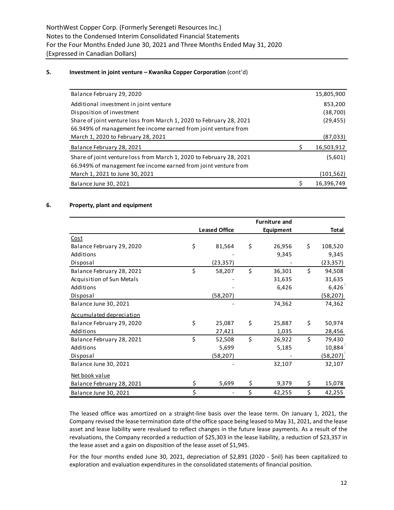#### **5. Investment in joint venture – Kwanika Copper Corporation** (cont'd)

| Balance February 29, 2020                                           | 15,805,900       |
|---------------------------------------------------------------------|------------------|
| Additional investment in joint venture                              | 853,200          |
| Disposition of investment                                           | (38,700)         |
| Share of joint venture loss from March 1, 2020 to February 28, 2021 | (29, 455)        |
| 66.949% of management fee income earned from joint venture from     |                  |
| March 1, 2020 to February 28, 2021                                  | (87,033)         |
| Balance February 28, 2021                                           | 16,503,912       |
| Share of joint venture loss from March 1, 2020 to February 28, 2021 | (5,601)          |
| 66.949% of management fee income earned from joint venture from     |                  |
| March 1, 2021 to June 30, 2021                                      | (101, 562)       |
| Balance June 30, 2021                                               | \$<br>16,396,749 |

## **6. Property, plant and equipment**

|                                 | <b>Furniture and</b> |    |                  |    |           |
|---------------------------------|----------------------|----|------------------|----|-----------|
|                                 | <b>Leased Office</b> |    | <b>Equipment</b> |    | Total     |
| Cost                            |                      |    |                  |    |           |
| Balance February 29, 2020       | \$<br>81,564         | \$ | 26,956           | \$ | 108,520   |
| Additions                       |                      |    | 9,345            |    | 9,345     |
| Disposal                        | (23,357)             |    |                  |    | (23, 357) |
| Balance February 28, 2021       | \$<br>58,207         | \$ | 36,301           | \$ | 94,508    |
| Acquisition of Sun Metals       |                      |    | 31,635           |    | 31,635    |
| Additions                       |                      |    | 6,426            |    | 6,426     |
| Disposal                        | (58, 207)            |    |                  |    | (58, 207) |
| Balance June 30, 2021           |                      |    | 74,362           |    | 74,362    |
| <b>Accumulated depreciation</b> |                      |    |                  |    |           |
| Balance February 29, 2020       | \$<br>25,087         | \$ | 25,887           | \$ | 50,974    |
| Additions                       | 27,421               |    | 1,035            |    | 28,456    |
| Balance February 28, 2021       | \$<br>52,508         | \$ | 26,922           | Ś. | 79,430    |
| Additions                       | 5,699                |    | 5,185            |    | 10,884    |
| Disposal                        | (58, 207)            |    |                  |    | (58, 207) |
| Balance June 30, 2021           |                      |    | 32,107           |    | 32,107    |
| Net book value                  |                      |    |                  |    |           |
| Balance February 28, 2021       | \$<br>5,699          | \$ | 9,379            | \$ | 15,078    |
| Balance June 30, 2021           | \$                   | \$ | 42,255           | Ś. | 42,255    |

The leased office was amortized on a straight-line basis over the lease term. On January 1, 2021, the Company revised the lease termination date of the office space being leased to May 31, 2021, and the lease asset and lease liability were revalued to reflect changes in the future lease payments. As a result of the revaluations, the Company recorded a reduction of \$25,303 in the lease liability, a reduction of \$23,357 in the lease asset and a gain on disposition of the lease asset of \$1,945.

For the four months ended June 30, 2021, depreciation of \$2,891 (2020 - \$nil) has been capitalized to exploration and evaluation expenditures in the consolidated statements of financial position.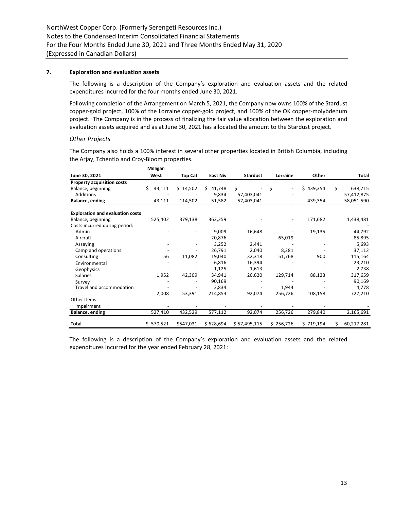#### **7. Exploration and evaluation assets**

The following is a description of the Company's exploration and evaluation assets and the related expenditures incurred for the four months ended June 30, 2021.

Following completion of the Arrangement on March 5, 2021, the Company now owns 100% of the Stardust copper-gold project, 100% of the Lorraine copper-gold project, and 100% of the OK copper-molybdenum project. The Company is in the process of finalizing the fair value allocation between the exploration and evaluation assets acquired and as at June 30, 2021 has allocated the amount to the Stardust project.

#### *Other Projects*

The Company also holds a 100% interest in several other properties located in British Columbia, including the Arjay, Tchentlo and Croy-Bloom properties.

|                                         | Milligan     |                |                 |                 |                |           |    |            |
|-----------------------------------------|--------------|----------------|-----------------|-----------------|----------------|-----------|----|------------|
| June 30, 2021                           | West         | <b>Top Cat</b> | <b>East Niv</b> | <b>Stardust</b> | Lorraine       | Other     |    | Total      |
| <b>Property acquisition costs</b>       |              |                |                 |                 |                |           |    |            |
| Balance, beginning                      | Ś.<br>43,111 | \$114,502      | Ś.<br>41,748    | \$              | \$<br>Ĭ.       | \$439,354 | \$ | 638,715    |
| Additions                               |              |                | 9,834           | 57,403,041      |                |           |    | 57,412,875 |
| Balance, ending                         | 43,111       | 114,502        | 51,582          | 57,403,041      | $\blacksquare$ | 439,354   |    | 58,051,590 |
| <b>Exploration and evaluation costs</b> |              |                |                 |                 |                |           |    |            |
| Balance, beginning                      | 525,402      | 379,138        | 362,259         |                 |                | 171,682   |    | 1,438,481  |
| Costs incurred during period:           |              |                |                 |                 |                |           |    |            |
| Admin                                   |              |                | 9,009           | 16,648          |                | 19,135    |    | 44,792     |
| Aircraft                                |              |                | 20,876          |                 | 65,019         |           |    | 85,895     |
| Assaying                                |              |                | 3,252           | 2,441           |                |           |    | 5,693      |
| Camp and operations                     |              |                | 26,791          | 2,040           | 8,281          |           |    | 37,112     |
| Consulting                              | 56           | 11,082         | 19,040          | 32,318          | 51,768         | 900       |    | 115,164    |
| Environmental                           |              |                | 6,816           | 16,394          |                |           |    | 23,210     |
| Geophysics                              |              |                | 1,125           | 1,613           |                |           |    | 2,738      |
| <b>Salaries</b>                         | 1,952        | 42,309         | 34,941          | 20,620          | 129,714        | 88,123    |    | 317,659    |
| Survey                                  |              |                | 90,169          |                 |                |           |    | 90,169     |
| Travel and accommodation                |              |                | 2,834           |                 | 1,944          |           |    | 4,778      |
|                                         | 2,008        | 53,391         | 214,853         | 92,074          | 256,726        | 108,158   |    | 727,210    |
| Other Items:                            |              |                |                 |                 |                |           |    |            |
| Impairment                              |              |                |                 |                 |                |           |    |            |
| Balance, ending                         | 527,410      | 432,529        | 577,112         | 92,074          | 256,726        | 279,840   |    | 2,165,691  |
| Total                                   | \$570,521    | \$547,031      | \$628,694       | \$57,495,115    | \$256,726      | \$719,194 | Ś  | 60,217,281 |

The following is a description of the Company's exploration and evaluation assets and the related expenditures incurred for the year ended February 28, 2021: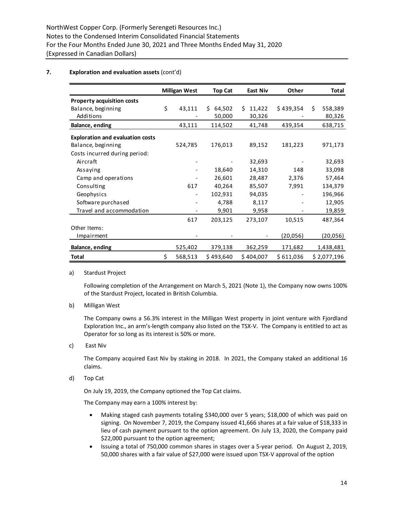# **7. Exploration and evaluation assets** (cont'd)

|                                         | <b>Milligan West</b>     | <b>Top Cat</b> | <b>East Niv</b> | Other     |     | Total       |
|-----------------------------------------|--------------------------|----------------|-----------------|-----------|-----|-------------|
| <b>Property acquisition costs</b>       |                          |                |                 |           |     |             |
| Balance, beginning                      | \$<br>43,111             | Ś.<br>64,502   | 11,422<br>S.    | \$439,354 | \$. | 558,389     |
| Additions                               |                          | 50,000         | 30,326          |           |     | 80,326      |
| Balance, ending                         | 43,111                   | 114,502        | 41,748          | 439,354   |     | 638,715     |
| <b>Exploration and evaluation costs</b> |                          |                |                 |           |     |             |
| Balance, beginning                      | 524,785                  | 176,013        | 89,152          | 181,223   |     | 971,173     |
| Costs incurred during period:           |                          |                |                 |           |     |             |
| Aircraft                                |                          |                | 32,693          |           |     | 32,693      |
| Assaying                                |                          | 18,640         | 14,310          | 148       |     | 33,098      |
| Camp and operations                     |                          | 26,601         | 28,487          | 2,376     |     | 57,464      |
| Consulting                              | 617                      | 40,264         | 85,507          | 7,991     |     | 134,379     |
| Geophysics                              | $\overline{\phantom{a}}$ | 102,931        | 94,035          |           |     | 196,966     |
| Software purchased                      |                          | 4,788          | 8,117           |           |     | 12,905      |
| Travel and accommodation                |                          | 9,901          | 9,958           |           |     | 19,859      |
|                                         | 617                      | 203,125        | 273,107         | 10,515    |     | 487,364     |
| Other Items:                            |                          |                |                 |           |     |             |
| Impairment                              |                          |                |                 | (20, 056) |     | (20,056)    |
| Balance, ending                         | 525,402                  | 379,138        | 362,259         | 171,682   |     | 1,438,481   |
| Total                                   | \$<br>568,513            | \$493,640      | \$404,007       | \$611,036 |     | \$2,077,196 |

# a) Stardust Project

Following completion of the Arrangement on March 5, 2021 (Note 1), the Company now owns 100% of the Stardust Project, located in British Columbia.

b) Milligan West

The Company owns a 56.3% interest in the Milligan West property in joint venture with Fjordland Exploration Inc., an arm's-length company also listed on the TSX-V. The Company is entitled to act as Operator for so long as its interest is 50% or more.

c) East Niv

The Company acquired East Niv by staking in 2018. In 2021, the Company staked an additional 16 claims.

d) Top Cat

On July 19, 2019, the Company optioned the Top Cat claims.

The Company may earn a 100% interest by:

- Making staged cash payments totaling \$340,000 over 5 years; \$18,000 of which was paid on signing. On November 7, 2019, the Company issued 41,666 shares at a fair value of \$18,333 in lieu of cash payment pursuant to the option agreement. On July 13, 2020, the Company paid \$22,000 pursuant to the option agreement;
- Issuing a total of 750,000 common shares in stages over a 5-year period. On August 2, 2019, 50,000 shares with a fair value of \$27,000 were issued upon TSX-V approval of the option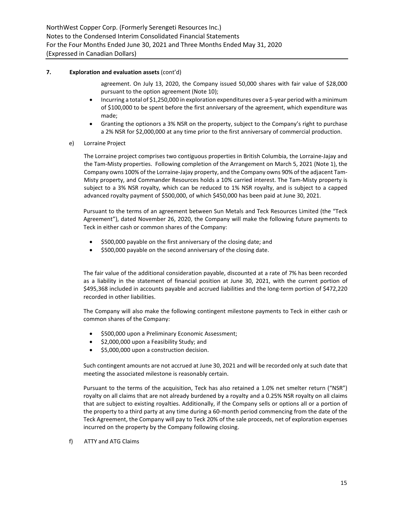# **7. Exploration and evaluation assets** (cont'd)

agreement. On July 13, 2020, the Company issued 50,000 shares with fair value of \$28,000 pursuant to the option agreement (Note 10);

- Incurring a total of \$1,250,000 in exploration expenditures over a 5-year period with a minimum of \$100,000 to be spent before the first anniversary of the agreement, which expenditure was made;
- Granting the optionors a 3% NSR on the property, subject to the Company's right to purchase a 2% NSR for \$2,000,000 at any time prior to the first anniversary of commercial production.
- e) Lorraine Project

The Lorraine project comprises two contiguous properties in British Columbia, the Lorraine-Jajay and the Tam-Misty properties. Following completion of the Arrangement on March 5, 2021 (Note 1), the Company owns 100% of the Lorraine-Jajay property, and the Company owns 90% of the adjacent Tam-Misty property, and Commander Resources holds a 10% carried interest. The Tam-Misty property is subject to a 3% NSR royalty, which can be reduced to 1% NSR royalty, and is subject to a capped advanced royalty payment of \$500,000, of which \$450,000 has been paid at June 30, 2021.

Pursuant to the terms of an agreement between Sun Metals and Teck Resources Limited (the "Teck Agreement"), dated November 26, 2020, the Company will make the following future payments to Teck in either cash or common shares of the Company:

- \$500,000 payable on the first anniversary of the closing date; and
- \$500,000 payable on the second anniversary of the closing date.

The fair value of the additional consideration payable, discounted at a rate of 7% has been recorded as a liability in the statement of financial position at June 30, 2021, with the current portion of \$495,368 included in accounts payable and accrued liabilities and the long-term portion of \$472,220 recorded in other liabilities.

The Company will also make the following contingent milestone payments to Teck in either cash or common shares of the Company:

- \$500,000 upon a Preliminary Economic Assessment;
- \$2,000,000 upon a Feasibility Study; and
- \$5,000,000 upon a construction decision.

Such contingent amounts are not accrued at June 30, 2021 and will be recorded only at such date that meeting the associated milestone is reasonably certain.

Pursuant to the terms of the acquisition, Teck has also retained a 1.0% net smelter return ("NSR") royalty on all claims that are not already burdened by a royalty and a 0.25% NSR royalty on all claims that are subject to existing royalties. Additionally, if the Company sells or options all or a portion of the property to a third party at any time during a 60-month period commencing from the date of the Teck Agreement, the Company will pay to Teck 20% of the sale proceeds, net of exploration expenses incurred on the property by the Company following closing.

f) ATTY and ATG Claims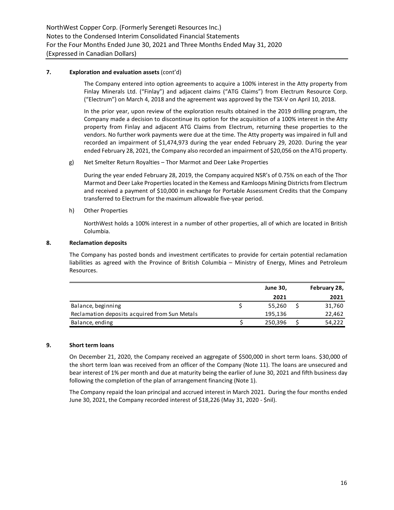# **7. Exploration and evaluation assets** (cont'd)

The Company entered into option agreements to acquire a 100% interest in the Atty property from Finlay Minerals Ltd. ("Finlay") and adjacent claims ("ATG Claims") from Electrum Resource Corp. ("Electrum") on March 4, 2018 and the agreement was approved by the TSX-V on April 10, 2018.

In the prior year, upon review of the exploration results obtained in the 2019 drilling program, the Company made a decision to discontinue its option for the acquisition of a 100% interest in the Atty property from Finlay and adjacent ATG Claims from Electrum, returning these properties to the vendors. No further work payments were due at the time. The Atty property was impaired in full and recorded an impairment of \$1,474,973 during the year ended February 29, 2020. During the year ended February 28, 2021, the Company also recorded an impairment of \$20,056 on the ATG property.

g) Net Smelter Return Royalties – Thor Marmot and Deer Lake Properties

During the year ended February 28, 2019, the Company acquired NSR's of 0.75% on each of the Thor Marmot and Deer Lake Properties located in the Kemess and Kamloops Mining Districts from Electrum and received a payment of \$10,000 in exchange for Portable Assessment Credits that the Company transferred to Electrum for the maximum allowable five-year period.

h) Other Properties

NorthWest holds a 100% interest in a number of other properties, all of which are located in British Columbia.

#### **8. Reclamation deposits**

The Company has posted bonds and investment certificates to provide for certain potential reclamation liabilities as agreed with the Province of British Columbia – Ministry of Energy, Mines and Petroleum Resources.

|                                               | <b>June 30,</b> | February 28, |
|-----------------------------------------------|-----------------|--------------|
|                                               | 2021            | 2021         |
| Balance, beginning                            | 55,260          | 31,760       |
| Reclamation deposits acquired from Sun Metals | 195,136         | 22,462       |
| Balance, ending                               | 250,396         | 54,222       |
|                                               |                 |              |

# **9. Short term loans**

On December 21, 2020, the Company received an aggregate of \$500,000 in short term loans. \$30,000 of the short term loan was received from an officer of the Company (Note 11). The loans are unsecured and bear interest of 1% per month and due at maturity being the earlier of June 30, 2021 and fifth business day following the completion of the plan of arrangement financing (Note 1).

The Company repaid the loan principal and accrued interest in March 2021. During the four months ended June 30, 2021, the Company recorded interest of \$18,226 (May 31, 2020 - \$nil).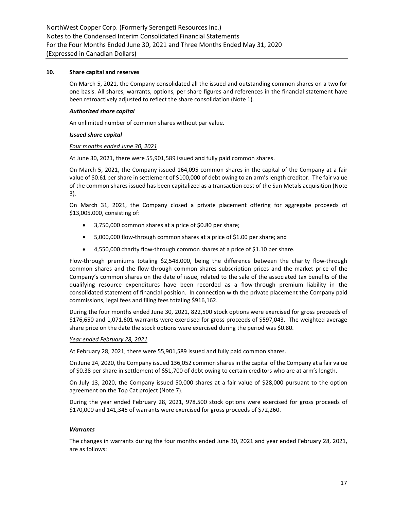#### **10. Share capital and reserves**

On March 5, 2021, the Company consolidated all the issued and outstanding common shares on a two for one basis. All shares, warrants, options, per share figures and references in the financial statement have been retroactively adjusted to reflect the share consolidation (Note 1).

#### *Authorized share capital*

An unlimited number of common shares without par value.

#### *Issued share capital*

#### *Four months ended June 30, 2021*

At June 30, 2021, there were 55,901,589 issued and fully paid common shares.

On March 5, 2021, the Company issued 164,095 common shares in the capital of the Company at a fair value of \$0.61 per share in settlement of \$100,000 of debt owing to an arm's length creditor. The fair value of the common shares issued has been capitalized as a transaction cost of the Sun Metals acquisition (Note 3).

On March 31, 2021, the Company closed a private placement offering for aggregate proceeds of \$13,005,000, consisting of:

- 3,750,000 common shares at a price of \$0.80 per share;
- 5,000,000 flow-through common shares at a price of \$1.00 per share; and
- 4,550,000 charity flow-through common shares at a price of \$1.10 per share.

Flow-through premiums totaling \$2,548,000, being the difference between the charity flow-through common shares and the flow-through common shares subscription prices and the market price of the Company's common shares on the date of issue, related to the sale of the associated tax benefits of the qualifying resource expenditures have been recorded as a flow-through premium liability in the consolidated statement of financial position. In connection with the private placement the Company paid commissions, legal fees and filing fees totaling \$916,162.

During the four months ended June 30, 2021, 822,500 stock options were exercised for gross proceeds of \$176,650 and 1,071,601 warrants were exercised for gross proceeds of \$597,043. The weighted average share price on the date the stock options were exercised during the period was \$0.80.

#### *Year ended February 28, 2021*

At February 28, 2021, there were 55,901,589 issued and fully paid common shares.

On June 24, 2020, the Company issued 136,052 common shares in the capital of the Company at a fair value of \$0.38 per share in settlement of \$51,700 of debt owing to certain creditors who are at arm's length.

On July 13, 2020, the Company issued 50,000 shares at a fair value of \$28,000 pursuant to the option agreement on the Top Cat project (Note 7).

During the year ended February 28, 2021, 978,500 stock options were exercised for gross proceeds of \$170,000 and 141,345 of warrants were exercised for gross proceeds of \$72,260.

#### *Warrants*

The changes in warrants during the four months ended June 30, 2021 and year ended February 28, 2021, are as follows: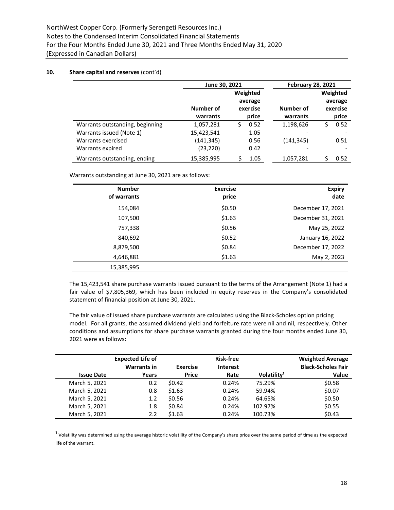|                                 | June 30, 2021 |            | <b>February 28, 2021</b> |           |
|---------------------------------|---------------|------------|--------------------------|-----------|
|                                 |               | Weighted   |                          | Weighted  |
|                                 |               | average    |                          | average   |
|                                 | Number of     | exercise   | Number of                | exercise  |
|                                 | warrants      | price      | warrants                 | price     |
| Warrants outstanding, beginning | 1,057,281     | 0.52<br>Ś. | 1,198,626                | 0.52<br>S |
| Warrants issued (Note 1)        | 15,423,541    | 1.05       |                          |           |
| Warrants exercised              | (141, 345)    | 0.56       | (141, 345)               | 0.51      |
| Warrants expired                | (23, 220)     | 0.42       |                          |           |
| Warrants outstanding, ending    | 15,385,995    | 1.05       | 1,057,281                | 0.52      |

Warrants outstanding at June 30, 2021 are as follows:

| <b>Number</b><br>of warrants | <b>Exercise</b><br>price | <b>Expiry</b><br>date |
|------------------------------|--------------------------|-----------------------|
| 154,084                      | \$0.50                   | December 17, 2021     |
| 107,500                      | \$1.63                   | December 31, 2021     |
| 757,338                      | \$0.56                   | May 25, 2022          |
| 840,692                      | \$0.52                   | January 16, 2022      |
| 8,879,500                    | \$0.84                   | December 17, 2022     |
| 4,646,881                    | \$1.63                   | May 2, 2023           |
| 15,385,995                   |                          |                       |

The 15,423,541 share purchase warrants issued pursuant to the terms of the Arrangement (Note 1) had a fair value of \$7,805,369, which has been included in equity reserves in the Company's consolidated statement of financial position at June 30, 2021.

The fair value of issued share purchase warrants are calculated using the Black-Scholes option pricing model. For all grants, the assumed dividend yield and forfeiture rate were nil and nil, respectively. Other conditions and assumptions for share purchase warrants granted during the four months ended June 30, 2021 were as follows:

|                   | <b>Expected Life of</b> |                 | <b>Risk-free</b> |                         | <b>Weighted Average</b>   |
|-------------------|-------------------------|-----------------|------------------|-------------------------|---------------------------|
|                   | <b>Warrants in</b>      | <b>Exercise</b> | <b>Interest</b>  |                         | <b>Black-Scholes Fair</b> |
| <b>Issue Date</b> | Years                   | <b>Price</b>    | Rate             | Volatility <sup>1</sup> | Value                     |
| March 5, 2021     | 0.2                     | \$0.42          | 0.24%            | 75.29%                  | \$0.58                    |
| March 5, 2021     | 0.8                     | \$1.63          | 0.24%            | 59.94%                  | \$0.07                    |
| March 5, 2021     | 1.2                     | \$0.56          | 0.24%            | 64.65%                  | \$0.50                    |
| March 5, 2021     | 1.8                     | \$0.84          | 0.24%            | 102.97%                 | \$0.55                    |
| March 5, 2021     | 2.2                     | \$1.63          | 0.24%            | 100.73%                 | \$0.43                    |
|                   |                         |                 |                  |                         |                           |

 $1$  Volatility was determined using the average historic volatility of the Company's share price over the same period of time as the expected life of the warrant.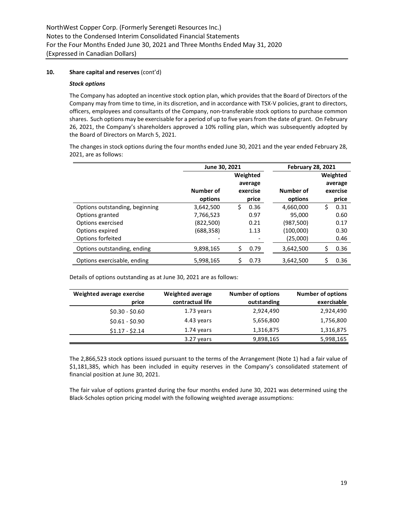#### *Stock options*

The Company has adopted an incentive stock option plan, which provides that the Board of Directors of the Company may from time to time, in its discretion, and in accordance with TSX-V policies, grant to directors, officers, employees and consultants of the Company, non-transferable stock options to purchase common shares. Such options may be exercisable for a period of up to five years from the date of grant. On February 26, 2021, the Company's shareholders approved a 10% rolling plan, which was subsequently adopted by the Board of Directors on March 5, 2021.

The changes in stock options during the four months ended June 30, 2021 and the year ended February 28, 2021, are as follows:

|                                | June 30, 2021 |            | <b>February 28, 2021</b> |            |  |  |
|--------------------------------|---------------|------------|--------------------------|------------|--|--|
|                                |               | Weighted   |                          | Weighted   |  |  |
|                                |               | average    |                          | average    |  |  |
|                                | Number of     | exercise   | Number of                | exercise   |  |  |
|                                | options       | price      | options                  | price      |  |  |
| Options outstanding, beginning | 3,642,500     | Ś.<br>0.36 | 4,660,000                | \$<br>0.31 |  |  |
| Options granted                | 7,766,523     | 0.97       | 95,000                   | 0.60       |  |  |
| Options exercised              | (822, 500)    | 0.21       | (987, 500)               | 0.17       |  |  |
| Options expired                | (688, 358)    | 1.13       | (100,000)                | 0.30       |  |  |
| Options forfeited              |               |            | (25,000)                 | 0.46       |  |  |
| Options outstanding, ending    | 9,898,165     | Ś<br>0.79  | 3,642,500                | 0.36<br>\$ |  |  |
| Options exercisable, ending    | 5,998,165     | 0.73       | 3,642,500                | 0.36       |  |  |

Details of options outstanding as at June 30, 2021 are as follows:

| Weighted average exercise | Weighted average | <b>Number of options</b> | <b>Number of options</b> |
|---------------------------|------------------|--------------------------|--------------------------|
| price                     | contractual life | outstanding              | exercisable              |
| $$0.30 - $0.60$           | 1.73 years       | 2,924,490                | 2,924,490                |
| $$0.61 - $0.90$           | 4.43 years       | 5,656,800                | 1,756,800                |
| $$1.17 - $2.14$           | 1.74 years       | 1,316,875                | 1,316,875                |
|                           | 3.27 years       | 9,898,165                | 5,998,165                |

The 2,866,523 stock options issued pursuant to the terms of the Arrangement (Note 1) had a fair value of \$1,181,385, which has been included in equity reserves in the Company's consolidated statement of financial position at June 30, 2021.

The fair value of options granted during the four months ended June 30, 2021 was determined using the Black-Scholes option pricing model with the following weighted average assumptions: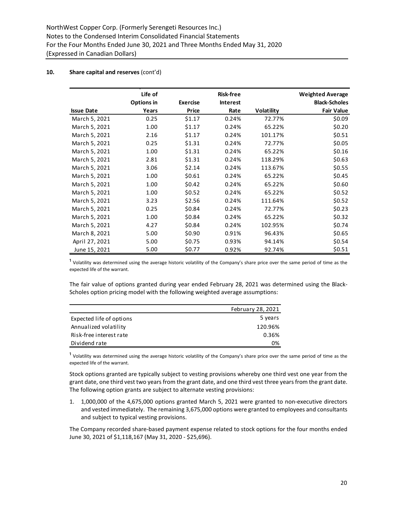|                   | Life of    |                 | <b>Risk-free</b> |            | <b>Weighted Average</b> |
|-------------------|------------|-----------------|------------------|------------|-------------------------|
|                   | Options in | <b>Exercise</b> | <b>Interest</b>  |            | <b>Black-Scholes</b>    |
| <b>Issue Date</b> | Years      | Price           | Rate             | Volatility | <b>Fair Value</b>       |
| March 5, 2021     | 0.25       | \$1.17          | 0.24%            | 72.77%     | \$0.09                  |
| March 5, 2021     | 1.00       | \$1.17          | 0.24%            | 65.22%     | \$0.20                  |
| March 5, 2021     | 2.16       | \$1.17          | 0.24%            | 101.17%    | \$0.51                  |
| March 5, 2021     | 0.25       | \$1.31          | 0.24%            | 72.77%     | \$0.05                  |
| March 5, 2021     | 1.00       | \$1.31          | 0.24%            | 65.22%     | \$0.16                  |
| March 5, 2021     | 2.81       | \$1.31          | 0.24%            | 118.29%    | \$0.63                  |
| March 5, 2021     | 3.06       | \$2.14          | 0.24%            | 113.67%    | \$0.55                  |
| March 5, 2021     | 1.00       | \$0.61          | 0.24%            | 65.22%     | \$0.45                  |
| March 5, 2021     | 1.00       | \$0.42          | 0.24%            | 65.22%     | \$0.60                  |
| March 5, 2021     | 1.00       | \$0.52          | 0.24%            | 65.22%     | \$0.52                  |
| March 5, 2021     | 3.23       | \$2.56          | 0.24%            | 111.64%    | \$0.52                  |
| March 5, 2021     | 0.25       | \$0.84          | 0.24%            | 72.77%     | \$0.23                  |
| March 5, 2021     | 1.00       | \$0.84          | 0.24%            | 65.22%     | \$0.32                  |
| March 5, 2021     | 4.27       | \$0.84          | 0.24%            | 102.95%    | \$0.74                  |
| March 8, 2021     | 5.00       | \$0.90          | 0.91%            | 96.43%     | \$0.65                  |
| April 27, 2021    | 5.00       | \$0.75          | 0.93%            | 94.14%     | \$0.54                  |
| June 15, 2021     | 5.00       | \$0.77          | 0.92%            | 92.74%     | \$0.51                  |

<sup>1</sup> Volatility was determined using the average historic volatility of the Company's share price over the same period of time as the expected life of the warrant.

The fair value of options granted during year ended February 28, 2021 was determined using the Black-Scholes option pricing model with the following weighted average assumptions:

|                          | February 28, 2021 |
|--------------------------|-------------------|
| Expected life of options | 5 years           |
| Annualized volatility    | 120.96%           |
| Risk-free interest rate  | 0.36%             |
| Dividend rate            | 0%                |

 $<sup>1</sup>$  Volatility was determined using the average historic volatility of the Company's share price over the same period of time as the</sup> expected life of the warrant.

Stock options granted are typically subject to vesting provisions whereby one third vest one year from the grant date, one third vest two years from the grant date, and one third vest three years from the grant date. The following option grants are subject to alternate vesting provisions:

1. 1,000,000 of the 4,675,000 options granted March 5, 2021 were granted to non-executive directors and vested immediately. The remaining 3,675,000 options were granted to employees and consultants and subject to typical vesting provisions.

The Company recorded share-based payment expense related to stock options for the four months ended June 30, 2021 of \$1,118,167 (May 31, 2020 - \$25,696).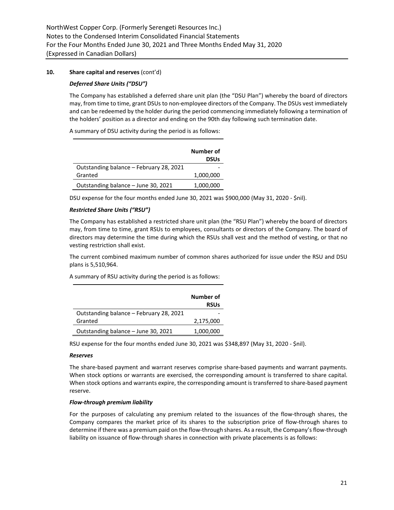# *Deferred Share Units ("DSU")*

The Company has established a deferred share unit plan (the "DSU Plan") whereby the board of directors may, from time to time, grant DSUs to non-employee directors of the Company. The DSUs vest immediately and can be redeemed by the holder during the period commencing immediately following a termination of the holders' position as a director and ending on the 90th day following such termination date.

A summary of DSU activity during the period is as follows:

|                                         | Number of<br><b>DSUs</b> |
|-----------------------------------------|--------------------------|
| Outstanding balance - February 28, 2021 |                          |
| Granted                                 | 1,000,000                |
| Outstanding balance - June 30, 2021     | 1,000,000                |

DSU expense for the four months ended June 30, 2021 was \$900,000 (May 31, 2020 - \$nil).

# *Restricted Share Units ("RSU")*

The Company has established a restricted share unit plan (the "RSU Plan") whereby the board of directors may, from time to time, grant RSUs to employees, consultants or directors of the Company. The board of directors may determine the time during which the RSUs shall vest and the method of vesting, or that no vesting restriction shall exist.

The current combined maximum number of common shares authorized for issue under the RSU and DSU plans is 5,510,964.

A summary of RSU activity during the period is as follows:

|                                         | Number of<br><b>RSUs</b> |
|-----------------------------------------|--------------------------|
| Outstanding balance - February 28, 2021 |                          |
| Granted                                 | 2,175,000                |
| Outstanding balance - June 30, 2021     | 1,000,000                |

RSU expense for the four months ended June 30, 2021 was \$348,897 (May 31, 2020 - \$nil).

# *Reserves*

The share-based payment and warrant reserves comprise share-based payments and warrant payments. When stock options or warrants are exercised, the corresponding amount is transferred to share capital. When stock options and warrants expire, the corresponding amount is transferred to share-based payment reserve.

# *Flow-through premium liability*

For the purposes of calculating any premium related to the issuances of the flow-through shares, the Company compares the market price of its shares to the subscription price of flow-through shares to determine if there was a premium paid on the flow-through shares. As a result, the Company's flow-through liability on issuance of flow-through shares in connection with private placements is as follows: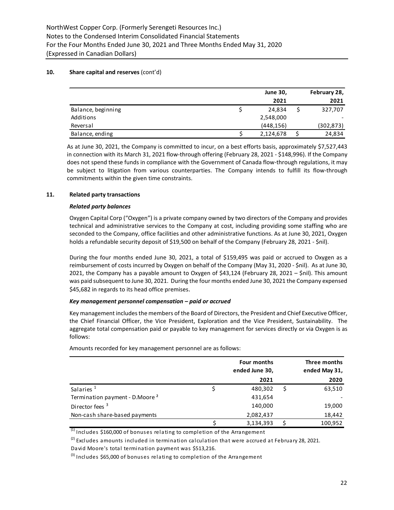|                    | <b>June 30,</b> | February 28, |
|--------------------|-----------------|--------------|
|                    | 2021            | 2021         |
| Balance, beginning | 24.834          | 327,707      |
| Additions          | 2,548,000       |              |
| Reversal           | (448, 156)      | (302, 873)   |
| Balance, ending    | 2,124,678       | 24,834       |

As at June 30, 2021, the Company is committed to incur, on a best efforts basis, approximately \$7,527,443 in connection with its March 31, 2021 flow-through offering (February 28, 2021 - \$148,996). If the Company does not spend these funds in compliance with the Government of Canada flow-through regulations, it may be subject to litigation from various counterparties. The Company intends to fulfill its flow-through commitments within the given time constraints.

# **11. Related party transactions**

#### *Related party balances*

Oxygen Capital Corp ("Oxygen") is a private company owned by two directors of the Company and provides technical and administrative services to the Company at cost, including providing some staffing who are seconded to the Company, office facilities and other administrative functions. As at June 30, 2021, Oxygen holds a refundable security deposit of \$19,500 on behalf of the Company (February 28, 2021 - \$nil).

During the four months ended June 30, 2021, a total of \$159,495 was paid or accrued to Oxygen as a reimbursement of costs incurred by Oxygen on behalf of the Company (May 31, 2020 - \$nil). As at June 30, 2021, the Company has a payable amount to Oxygen of \$43,124 (February 28, 2021 – \$nil). This amount was paid subsequent to June 30, 2021. During the four months ended June 30, 2021 the Company expensed \$45,682 in regards to its head office premises.

# *Key management personnel compensation – paid or accrued*

Key management includes the members of the Board of Directors, the President and Chief Executive Officer, the Chief Financial Officer, the Vice President, Exploration and the Vice President, Sustainability. The aggregate total compensation paid or payable to key management for services directly or via Oxygen is as follows:

|                                            | Four months<br>ended June 30, | Three months<br>ended May 31, |
|--------------------------------------------|-------------------------------|-------------------------------|
|                                            | 2021                          | 2020                          |
| Salaries <sup>1</sup>                      | 480,302                       | 63,510                        |
| Termination payment - D.Moore <sup>2</sup> | 431,654                       |                               |
| Director fees <sup>3</sup>                 | 140,000                       | 19,000                        |
| Non-cash share-based payments              | 2,082,437                     | 18,442                        |
|                                            | 3,134,393                     | 100,952                       |

Amounts recorded for key management personnel are as follows:

 $\frac{1}{1}$  Includes \$160,000 of bonuses relating to completion of the Arrangement

 $^{(2)}$  Excludes amounts included in termination calculation that were accrued at February 28, 2021.

David Moore's total termination payment was \$513,216.

 $^{(3)}$  Includes \$65,000 of bonuses relating to completion of the Arrangement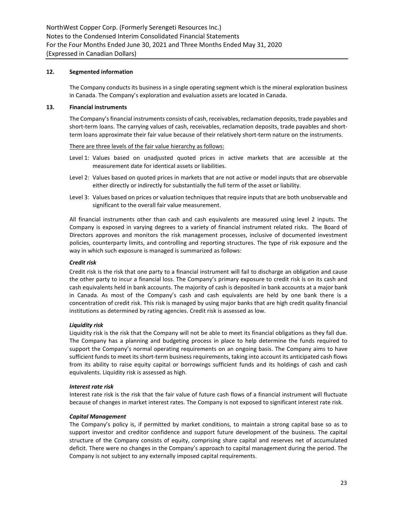# **12. Segmented information**

The Company conducts its business in a single operating segment which is the mineral exploration business in Canada. The Company's exploration and evaluation assets are located in Canada.

#### **13. Financial instruments**

The Company's financial instruments consists of cash, receivables, reclamation deposits, trade payables and short-term loans. The carrying values of cash, receivables, reclamation deposits, trade payables and shortterm loans approximate their fair value because of their relatively short-term nature on the instruments.

#### There are three levels of the fair value hierarchy as follows:

- Level 1: Values based on unadjusted quoted prices in active markets that are accessible at the measurement date for identical assets or liabilities.
- Level 2: Values based on quoted prices in markets that are not active or model inputs that are observable either directly or indirectly for substantially the full term of the asset or liability.
- Level 3: Values based on prices or valuation techniques that require inputs that are both unobservable and significant to the overall fair value measurement.

All financial instruments other than cash and cash equivalents are measured using level 2 inputs. The Company is exposed in varying degrees to a variety of financial instrument related risks. The Board of Directors approves and monitors the risk management processes, inclusive of documented investment policies, counterparty limits, and controlling and reporting structures. The type of risk exposure and the way in which such exposure is managed is summarized as follows:

# *Credit risk*

Credit risk is the risk that one party to a financial instrument will fail to discharge an obligation and cause the other party to incur a financial loss. The Company's primary exposure to credit risk is on its cash and cash equivalents held in bank accounts. The majority of cash is deposited in bank accounts at a major bank in Canada. As most of the Company's cash and cash equivalents are held by one bank there is a concentration of credit risk. This risk is managed by using major banks that are high credit quality financial institutions as determined by rating agencies. Credit risk is assessed as low.

#### *Liquidity risk*

Liquidity risk is the risk that the Company will not be able to meet its financial obligations as they fall due. The Company has a planning and budgeting process in place to help determine the funds required to support the Company's normal operating requirements on an ongoing basis. The Company aims to have sufficient funds to meet its short-term business requirements, taking into account its anticipated cash flows from its ability to raise equity capital or borrowings sufficient funds and its holdings of cash and cash equivalents. Liquidity risk is assessed as high.

#### *Interest rate risk*

Interest rate risk is the risk that the fair value of future cash flows of a financial instrument will fluctuate because of changes in market interest rates. The Company is not exposed to significant interest rate risk.

#### *Capital Management*

The Company's policy is, if permitted by market conditions, to maintain a strong capital base so as to support investor and creditor confidence and support future development of the business. The capital structure of the Company consists of equity, comprising share capital and reserves net of accumulated deficit. There were no changes in the Company's approach to capital management during the period. The Company is not subject to any externally imposed capital requirements.